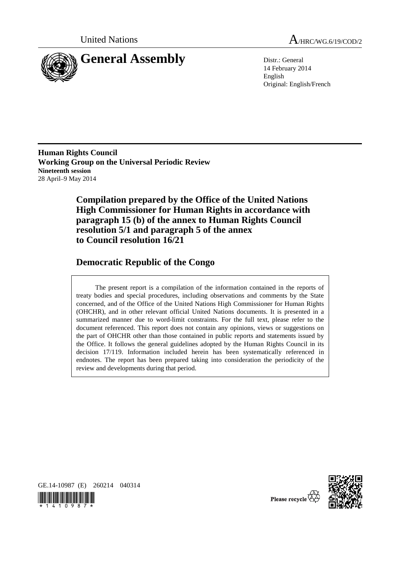

United Nations A<sub>/HRC/WG.6/19/COD/2</sub>

14 February 2014 English Original: English/French

**Human Rights Council Working Group on the Universal Periodic Review Nineteenth session**  28 April–9 May 2014

> **Compilation prepared by the Office of the United Nations High Commissioner for Human Rights in accordance with paragraph 15 (b) of the annex to Human Rights Council resolution 5/1 and paragraph 5 of the annex to Council resolution 16/21**

# **Democratic Republic of the Congo**

 The present report is a compilation of the information contained in the reports of treaty bodies and special procedures, including observations and comments by the State concerned, and of the Office of the United Nations High Commissioner for Human Rights (OHCHR), and in other relevant official United Nations documents. It is presented in a summarized manner due to word-limit constraints. For the full text, please refer to the document referenced. This report does not contain any opinions, views or suggestions on the part of OHCHR other than those contained in public reports and statements issued by the Office. It follows the general guidelines adopted by the Human Rights Council in its decision 17/119. Information included herein has been systematically referenced in endnotes. The report has been prepared taking into consideration the periodicity of the review and developments during that period.





Please recycle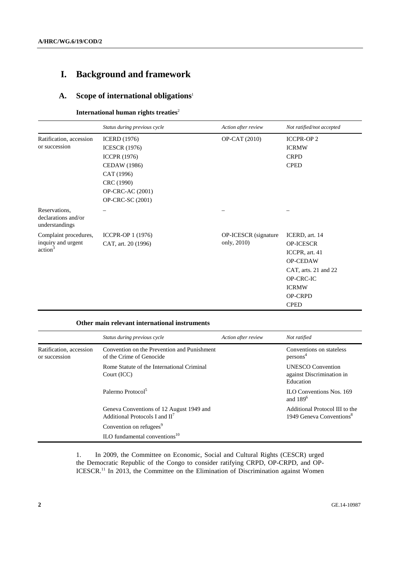# **I. Background and framework**

## **A. Scope of international obligations**<sup>1</sup>

#### **International human rights treaties<sup>2</sup>**

|                                                                    | Status during previous cycle | Action after review  | Not ratified/not accepted |
|--------------------------------------------------------------------|------------------------------|----------------------|---------------------------|
| Ratification, accession                                            | <b>ICERD</b> (1976)          | OP-CAT (2010)        | <b>ICCPR-OP2</b>          |
| or succession                                                      | <b>ICESCR (1976)</b>         |                      | <b>ICRMW</b>              |
|                                                                    | <b>ICCPR</b> (1976)          |                      | <b>CRPD</b>               |
|                                                                    | CEDAW (1986)                 |                      | <b>CPED</b>               |
|                                                                    | CAT (1996)                   |                      |                           |
|                                                                    | CRC (1990)                   |                      |                           |
|                                                                    | <b>OP-CRC-AC</b> (2001)      |                      |                           |
|                                                                    | <b>OP-CRC-SC (2001)</b>      |                      |                           |
| Reservations,<br>declarations and/or<br>understandings             |                              |                      |                           |
| Complaint procedures,<br>inquiry and urgent<br>action <sup>3</sup> | ICCPR-OP 1 (1976)            | OP-ICESCR (signature | ICERD, art. 14            |
|                                                                    | CAT, art. 20 (1996)          | only, 2010)          | <b>OP-ICESCR</b>          |
|                                                                    |                              |                      | ICCPR, art. 41            |
|                                                                    |                              |                      | <b>OP-CEDAW</b>           |
|                                                                    |                              |                      | CAT, arts. 21 and 22      |
|                                                                    |                              |                      | OP-CRC-IC                 |
|                                                                    |                              |                      | <b>ICRMW</b>              |
|                                                                    |                              |                      | <b>OP-CRPD</b>            |
|                                                                    |                              |                      | <b>CPED</b>               |

## **Other main relevant international instruments**

|                                          | Status during previous cycle                                                           | Action after review | Not ratified                                                           |
|------------------------------------------|----------------------------------------------------------------------------------------|---------------------|------------------------------------------------------------------------|
| Ratification, accession<br>or succession | Convention on the Prevention and Punishment<br>of the Crime of Genocide                |                     | Conventions on stateless<br>persons <sup>4</sup>                       |
|                                          | Rome Statute of the International Criminal<br>Court (ICC)                              |                     | <b>UNESCO</b> Convention<br>against Discrimination in<br>Education     |
|                                          | Palermo Protocol <sup>5</sup>                                                          |                     | <b>ILO Conventions Nos. 169</b><br>and $1896$                          |
|                                          | Geneva Conventions of 12 August 1949 and<br>Additional Protocols I and II <sup>7</sup> |                     | Additional Protocol III to the<br>1949 Geneva Conventions <sup>8</sup> |
|                                          | Convention on refugees <sup>9</sup>                                                    |                     |                                                                        |
|                                          | $\rm ILO$ fundamental conventions <sup>10</sup>                                        |                     |                                                                        |

1. In 2009, the Committee on Economic, Social and Cultural Rights (CESCR) urged the Democratic Republic of the Congo to consider ratifying CRPD, OP-CRPD, and OP-ICESCR.<sup>11</sup> In 2013, the Committee on the Elimination of Discrimination against Women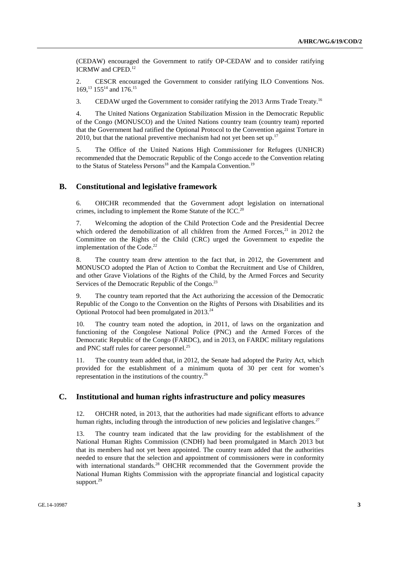(CEDAW) encouraged the Government to ratify OP-CEDAW and to consider ratifying ICRMW and CPED.<sup>12</sup>

2. CESCR encouraged the Government to consider ratifying ILO Conventions Nos. 169.<sup>13</sup> 155<sup>14</sup> and 176.<sup>15</sup>

3. CEDAW urged the Government to consider ratifying the 2013 Arms Trade Treaty.16

4. The United Nations Organization Stabilization Mission in the Democratic Republic of the Congo (MONUSCO) and the United Nations country team (country team) reported that the Government had ratified the Optional Protocol to the Convention against Torture in 2010, but that the national preventive mechanism had not vet been set up.<sup>17</sup>

5. The Office of the United Nations High Commissioner for Refugees (UNHCR) recommended that the Democratic Republic of the Congo accede to the Convention relating to the Status of Stateless Persons<sup>18</sup> and the Kampala Convention.<sup>19</sup>

#### **B. Constitutional and legislative framework**

6. OHCHR recommended that the Government adopt legislation on international crimes, including to implement the Rome Statute of the ICC.<sup>20</sup>

7. Welcoming the adoption of the Child Protection Code and the Presidential Decree which ordered the demobilization of all children from the Armed Forces, $21$  in 2012 the Committee on the Rights of the Child (CRC) urged the Government to expedite the implementation of the Code. $^{22}$ 

8. The country team drew attention to the fact that, in 2012, the Government and MONUSCO adopted the Plan of Action to Combat the Recruitment and Use of Children, and other Grave Violations of the Rights of the Child, by the Armed Forces and Security Services of the Democratic Republic of the Congo. $2<sup>3</sup>$ 

9. The country team reported that the Act authorizing the accession of the Democratic Republic of the Congo to the Convention on the Rights of Persons with Disabilities and its Optional Protocol had been promulgated in 2013.<sup>24</sup>

10. The country team noted the adoption, in 2011, of laws on the organization and functioning of the Congolese National Police (PNC) and the Armed Forces of the Democratic Republic of the Congo (FARDC), and in 2013, on FARDC military regulations and PNC staff rules for career personnel.<sup>25</sup>

11. The country team added that, in 2012, the Senate had adopted the Parity Act, which provided for the establishment of a minimum quota of 30 per cent for women's representation in the institutions of the country.26

## **C. Institutional and human rights infrastructure and policy measures**

12. OHCHR noted, in 2013, that the authorities had made significant efforts to advance human rights, including through the introduction of new policies and legislative changes.<sup>27</sup>

13. The country team indicated that the law providing for the establishment of the National Human Rights Commission (CNDH) had been promulgated in March 2013 but that its members had not yet been appointed. The country team added that the authorities needed to ensure that the selection and appointment of commissioners were in conformity with international standards.<sup>28</sup> OHCHR recommended that the Government provide the National Human Rights Commission with the appropriate financial and logistical capacity support.<sup>29</sup>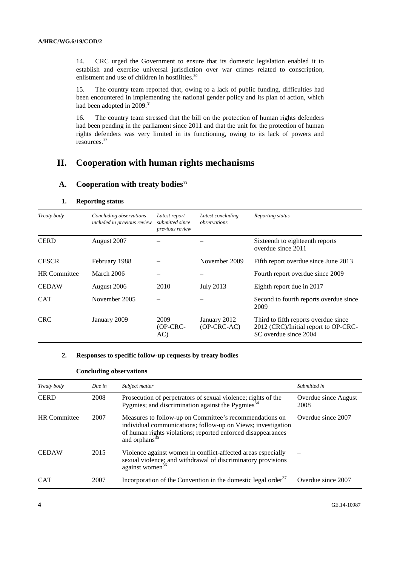14. CRC urged the Government to ensure that its domestic legislation enabled it to establish and exercise universal jurisdiction over war crimes related to conscription, enlistment and use of children in hostilities.<sup>30</sup>

15. The country team reported that, owing to a lack of public funding, difficulties had been encountered in implementing the national gender policy and its plan of action, which had been adopted in 2009.<sup>31</sup>

16. The country team stressed that the bill on the protection of human rights defenders had been pending in the parliament since 2011 and that the unit for the protection of human rights defenders was very limited in its functioning, owing to its lack of powers and resources.32

## **II. Cooperation with human rights mechanisms**

#### **A. Cooperation with treaty bodies**<sup>33</sup>

| Treaty body         | Concluding observations<br>included in previous review | Latest report<br>submitted since<br>previous review | Latest concluding<br>observations | Reporting status                                                                                      |
|---------------------|--------------------------------------------------------|-----------------------------------------------------|-----------------------------------|-------------------------------------------------------------------------------------------------------|
| <b>CERD</b>         | August 2007                                            |                                                     |                                   | Sixteenth to eighteenth reports<br>overdue since 2011                                                 |
| <b>CESCR</b>        | February 1988                                          |                                                     | November 2009                     | Fifth report overdue since June 2013                                                                  |
| <b>HR</b> Committee | March 2006                                             |                                                     |                                   | Fourth report overdue since 2009                                                                      |
| <b>CEDAW</b>        | August 2006                                            | 2010                                                | <b>July 2013</b>                  | Eighth report due in 2017                                                                             |
| <b>CAT</b>          | November 2005                                          |                                                     |                                   | Second to fourth reports overdue since<br>2009                                                        |
| <b>CRC</b>          | January 2009                                           | 2009<br>$OP-CRC-$<br>AC)                            | January 2012<br>$(OP-CRC-AC)$     | Third to fifth reports overdue since<br>2012 (CRC)/Initial report to OP-CRC-<br>SC overdue since 2004 |

#### **1. Reporting status**

#### **2. Responses to specific follow-up requests by treaty bodies**

| Treaty body         | Due in | Subject matter                                                                                                                                                                                                       | Submitted in                 |
|---------------------|--------|----------------------------------------------------------------------------------------------------------------------------------------------------------------------------------------------------------------------|------------------------------|
| <b>CERD</b>         | 2008   | Prosecution of perpetrators of sexual violence; rights of the Pygmies; and discrimination against the Pygmies <sup>34</sup>                                                                                          | Overdue since August<br>2008 |
| <b>HR</b> Committee | 2007   | Measures to follow-up on Committee's recommendations on<br>individual communications; follow-up on Views; investigation<br>of human rights violations; reported enforced disappearances<br>and orphans <sup>35</sup> | Overdue since 2007           |
| <b>CEDAW</b>        | 2015   | Violence against women in conflict-affected areas especially<br>sexual violence; and withdrawal of discriminatory provisions<br>against women <sup>36</sup>                                                          |                              |
| <b>CAT</b>          | 2007   | Incorporation of the Convention in the domestic legal order <sup>37</sup>                                                                                                                                            | Overdue since 2007           |

#### **Concluding observations**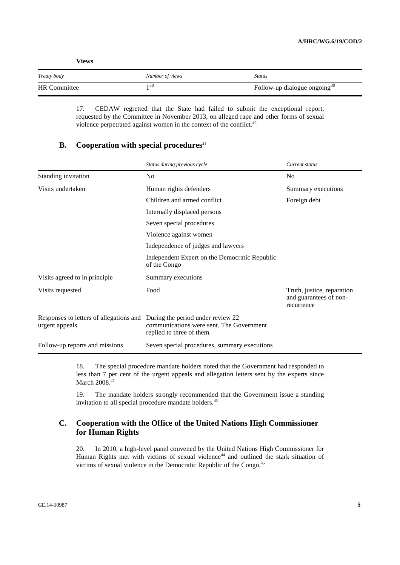| Views               |                 |                                          |
|---------------------|-----------------|------------------------------------------|
| Treaty body         | Number of views | <b>Status</b>                            |
| <b>HR</b> Committee | 38 ر            | Follow-up dialogue ongoing <sup>39</sup> |

17. CEDAW regretted that the State had failed to submit the exceptional report, requested by the Committee in November 2013, on alleged rape and other forms of sexual violence perpetrated against women in the context of the conflict.<sup>40</sup>

#### **B.** Cooperation with special procedures<sup>41</sup>

|                                                                                             | Status during previous cycle                                          | Current status                                                     |
|---------------------------------------------------------------------------------------------|-----------------------------------------------------------------------|--------------------------------------------------------------------|
| Standing invitation                                                                         | No                                                                    | No                                                                 |
| Visits undertaken                                                                           | Human rights defenders                                                | Summary executions                                                 |
|                                                                                             | Children and armed conflict                                           | Foreign debt                                                       |
|                                                                                             | Internally displaced persons                                          |                                                                    |
|                                                                                             | Seven special procedures                                              |                                                                    |
|                                                                                             | Violence against women                                                |                                                                    |
|                                                                                             | Independence of judges and lawyers                                    |                                                                    |
|                                                                                             | Independent Expert on the Democratic Republic<br>of the Congo         |                                                                    |
| Visits agreed to in principle                                                               | Summary executions                                                    |                                                                    |
| Visits requested                                                                            | Food                                                                  | Truth, justice, reparation<br>and guarantees of non-<br>recurrence |
| Responses to letters of allegations and During the period under review 22<br>urgent appeals | communications were sent. The Government<br>replied to three of them. |                                                                    |
| Follow-up reports and missions                                                              | Seven special procedures, summary executions                          |                                                                    |

18. The special procedure mandate holders noted that the Government had responded to less than 7 per cent of the urgent appeals and allegation letters sent by the experts since March 2008.<sup>42</sup>

19. The mandate holders strongly recommended that the Government issue a standing invitation to all special procedure mandate holders.<sup>43</sup>

## **C. Cooperation with the Office of the United Nations High Commissioner for Human Rights**

20. In 2010, a high-level panel convened by the United Nations High Commissioner for Human Rights met with victims of sexual violence<sup>44</sup> and outlined the stark situation of victims of sexual violence in the Democratic Republic of the Congo.<sup>45</sup>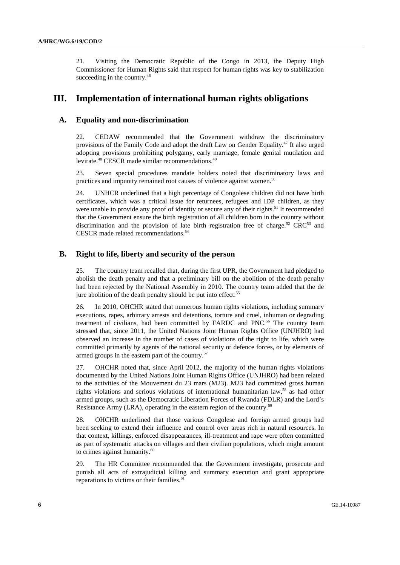21. Visiting the Democratic Republic of the Congo in 2013, the Deputy High Commissioner for Human Rights said that respect for human rights was key to stabilization succeeding in the country.<sup>46</sup>

## **III. Implementation of international human rights obligations**

#### **A. Equality and non-discrimination**

22. CEDAW recommended that the Government withdraw the discriminatory provisions of the Family Code and adopt the draft Law on Gender Equality.<sup>47</sup> It also urged adopting provisions prohibiting polygamy, early marriage, female genital mutilation and levirate.48 CESCR made similar recommendations.49

23. Seven special procedures mandate holders noted that discriminatory laws and practices and impunity remained root causes of violence against women.<sup>50</sup>

24. UNHCR underlined that a high percentage of Congolese children did not have birth certificates, which was a critical issue for returnees, refugees and IDP children, as they were unable to provide any proof of identity or secure any of their rights.<sup>51</sup> It recommended that the Government ensure the birth registration of all children born in the country without discrimination and the provision of late birth registration free of charge.<sup>52</sup> CRC<sup>53</sup> and CESCR made related recommendations.<sup>54</sup>

## **B. Right to life, liberty and security of the person**

25. The country team recalled that, during the first UPR, the Government had pledged to abolish the death penalty and that a preliminary bill on the abolition of the death penalty had been rejected by the National Assembly in 2010. The country team added that the de jure abolition of the death penalty should be put into effect.<sup>55</sup>

26. In 2010, OHCHR stated that numerous human rights violations, including summary executions, rapes, arbitrary arrests and detentions, torture and cruel, inhuman or degrading treatment of civilians, had been committed by FARDC and PNC.<sup>56</sup> The country team stressed that, since 2011, the United Nations Joint Human Rights Office (UNJHRO) had observed an increase in the number of cases of violations of the right to life, which were committed primarily by agents of the national security or defence forces, or by elements of armed groups in the eastern part of the country.<sup>57</sup>

27. OHCHR noted that, since April 2012, the majority of the human rights violations documented by the United Nations Joint Human Rights Office (UNJHRO) had been related to the activities of the Mouvement du 23 mars (M23). M23 had committed gross human rights violations and serious violations of international humanitarian law,58 as had other armed groups, such as the Democratic Liberation Forces of Rwanda (FDLR) and the Lord's Resistance Army (LRA), operating in the eastern region of the country.<sup>59</sup>

28. OHCHR underlined that those various Congolese and foreign armed groups had been seeking to extend their influence and control over areas rich in natural resources. In that context, killings, enforced disappearances, ill-treatment and rape were often committed as part of systematic attacks on villages and their civilian populations, which might amount to crimes against humanity.<sup>60</sup>

29. The HR Committee recommended that the Government investigate, prosecute and punish all acts of extrajudicial killing and summary execution and grant appropriate reparations to victims or their families.<sup>61</sup>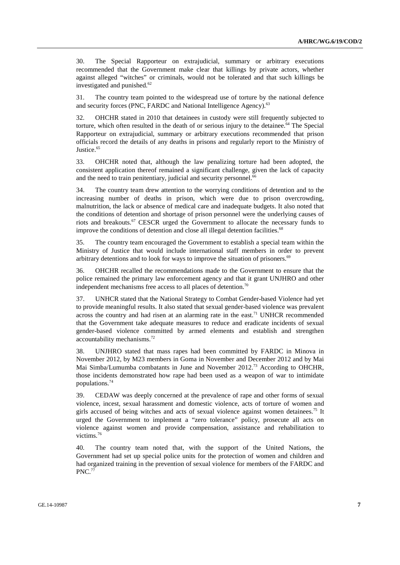30. The Special Rapporteur on extrajudicial, summary or arbitrary executions recommended that the Government make clear that killings by private actors, whether against alleged "witches" or criminals, would not be tolerated and that such killings be investigated and punished.<sup>62</sup>

31. The country team pointed to the widespread use of torture by the national defence and security forces (PNC, FARDC and National Intelligence Agency).<sup>63</sup>

32. OHCHR stated in 2010 that detainees in custody were still frequently subjected to torture, which often resulted in the death of or serious injury to the detainee.<sup>64</sup> The Special Rapporteur on extrajudicial, summary or arbitrary executions recommended that prison officials record the details of any deaths in prisons and regularly report to the Ministry of Justice.<sup>65</sup>

33. OHCHR noted that, although the law penalizing torture had been adopted, the consistent application thereof remained a significant challenge, given the lack of capacity and the need to train penitentiary, judicial and security personnel.<sup>66</sup>

34. The country team drew attention to the worrying conditions of detention and to the increasing number of deaths in prison, which were due to prison overcrowding, malnutrition, the lack or absence of medical care and inadequate budgets. It also noted that the conditions of detention and shortage of prison personnel were the underlying causes of riots and breakouts.<sup>67</sup> CESCR urged the Government to allocate the necessary funds to improve the conditions of detention and close all illegal detention facilities.<sup>68</sup>

35. The country team encouraged the Government to establish a special team within the Ministry of Justice that would include international staff members in order to prevent arbitrary detentions and to look for ways to improve the situation of prisoners.<sup>69</sup>

36. OHCHR recalled the recommendations made to the Government to ensure that the police remained the primary law enforcement agency and that it grant UNJHRO and other independent mechanisms free access to all places of detention.<sup>70</sup>

37. UNHCR stated that the National Strategy to Combat Gender-based Violence had yet to provide meaningful results. It also stated that sexual gender-based violence was prevalent across the country and had risen at an alarming rate in the east.<sup>71</sup> UNHCR recommended that the Government take adequate measures to reduce and eradicate incidents of sexual gender-based violence committed by armed elements and establish and strengthen accountability mechanisms. $72$ 

38. UNJHRO stated that mass rapes had been committed by FARDC in Minova in November 2012, by M23 members in Goma in November and December 2012 and by Mai Mai Simba/Lumumba combatants in June and November 2012.73 According to OHCHR, those incidents demonstrated how rape had been used as a weapon of war to intimidate populations.74

39. CEDAW was deeply concerned at the prevalence of rape and other forms of sexual violence, incest, sexual harassment and domestic violence, acts of torture of women and girls accused of being witches and acts of sexual violence against women detainees.75 It urged the Government to implement a "zero tolerance" policy, prosecute all acts on violence against women and provide compensation, assistance and rehabilitation to victims.76

40. The country team noted that, with the support of the United Nations, the Government had set up special police units for the protection of women and children and had organized training in the prevention of sexual violence for members of the FARDC and PNC.<sup>7</sup>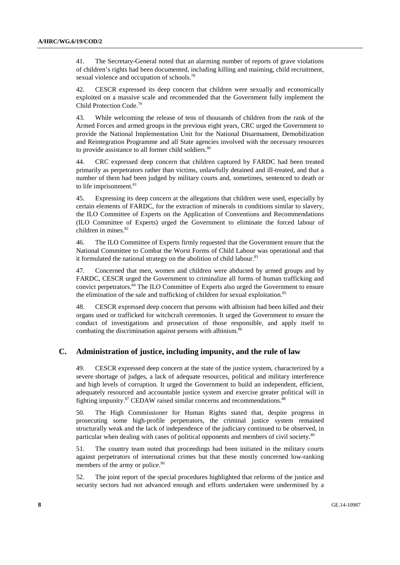41. The Secretary-General noted that an alarming number of reports of grave violations of children's rights had been documented, including killing and maiming, child recruitment, sexual violence and occupation of schools.<sup>78</sup>

42. CESCR expressed its deep concern that children were sexually and economically exploited on a massive scale and recommended that the Government fully implement the Child Protection Code.79

43. While welcoming the release of tens of thousands of children from the rank of the Armed Forces and armed groups in the previous eight years, CRC urged the Government to provide the National Implementation Unit for the National Disarmament, Demobilization and Reintegration Programme and all State agencies involved with the necessary resources to provide assistance to all former child soldiers.<sup>80</sup>

44. CRC expressed deep concern that children captured by FARDC had been treated primarily as perpetrators rather than victims, unlawfully detained and ill-treated, and that a number of them had been judged by military courts and, sometimes, sentenced to death or to life imprisonment. $81$ 

45. Expressing its deep concern at the allegations that children were used, especially by certain elements of FARDC, for the extraction of minerals in conditions similar to slavery, the ILO Committee of Experts on the Application of Conventions and Recommendations (ILO Committee of Experts) urged the Government to eliminate the forced labour of children in mines.<sup>82</sup>

46. The ILO Committee of Experts firmly requested that the Government ensure that the National Committee to Combat the Worst Forms of Child Labour was operational and that it formulated the national strategy on the abolition of child labour.<sup>83</sup>

47. Concerned that men, women and children were abducted by armed groups and by FARDC, CESCR urged the Government to criminalize all forms of human trafficking and convict perpetrators.<sup>84</sup> The ILO Committee of Experts also urged the Government to ensure the elimination of the sale and trafficking of children for sexual exploitation. $85$ 

48. CESCR expressed deep concern that persons with albinism had been killed and their organs used or trafficked for witchcraft ceremonies. It urged the Government to ensure the conduct of investigations and prosecution of those responsible, and apply itself to combating the discrimination against persons with albinism.<sup>86</sup>

## **C. Administration of justice, including impunity, and the rule of law**

49. CESCR expressed deep concern at the state of the justice system, characterized by a severe shortage of judges, a lack of adequate resources, political and military interference and high levels of corruption. It urged the Government to build an independent, efficient, adequately resourced and accountable justice system and exercise greater political will in fighting impunity.<sup>87</sup> CEDAW raised similar concerns and recommendations.<sup>88</sup>

50. The High Commissioner for Human Rights stated that, despite progress in prosecuting some high-profile perpetrators, the criminal justice system remained structurally weak and the lack of independence of the judiciary continued to be observed, in particular when dealing with cases of political opponents and members of civil society.89

51. The country team noted that proceedings had been initiated in the military courts against perpetrators of international crimes but that these mostly concerned low-ranking members of the army or police.<sup>90</sup>

52. The joint report of the special procedures highlighted that reforms of the justice and security sectors had not advanced enough and efforts undertaken were undermined by a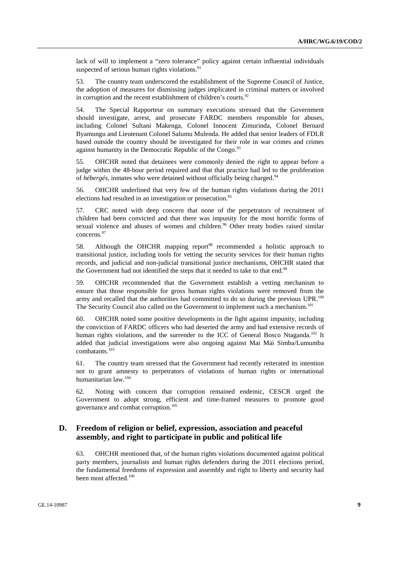lack of will to implement a "zero tolerance" policy against certain influential individuals suspected of serious human rights violations. $91$ 

53. The country team underscored the establishment of the Supreme Council of Justice, the adoption of measures for dismissing judges implicated in criminal matters or involved in corruption and the recent establishment of children's courts. $92$ 

54. The Special Rapporteur on summary executions stressed that the Government should investigate, arrest, and prosecute FARDC members responsible for abuses, including Colonel Sultani Makenga, Colonel Innocent Zimurinda, Colonel Bernard Byamungu and Lieutenant Colonel Salumu Mulenda. He added that senior leaders of FDLR based outside the country should be investigated for their role in war crimes and crimes against humanity in the Democratic Republic of the Congo.<sup>93</sup>

55. OHCHR noted that detainees were commonly denied the right to appear before a judge within the 48-hour period required and that that practice had led to the proliferation of *hébergés*, inmates who were detained without officially being charged.94

56. OHCHR underlined that very few of the human rights violations during the 2011 elections had resulted in an investigation or prosecution.<sup>95</sup>

57. CRC noted with deep concern that none of the perpetrators of recruitment of children had been convicted and that there was impunity for the most horrific forms of sexual violence and abuses of women and children.<sup>96</sup> Other treaty bodies raised similar concerns.97

58. Although the OHCHR mapping report<sup>98</sup> recommended a holistic approach to transitional justice, including tools for vetting the security services for their human rights records, and judicial and non-judicial transitional justice mechanisms, OHCHR stated that the Government had not identified the steps that it needed to take to that end.<sup>99</sup>

59. OHCHR recommended that the Government establish a vetting mechanism to ensure that those responsible for gross human rights violations were removed from the army and recalled that the authorities had committed to do so during the previous UPR.<sup>100</sup> The Security Council also called on the Government to implement such a mechanism.<sup>101</sup>

60. OHCHR noted some positive developments in the fight against impunity, including the conviction of FARDC officers who had deserted the army and had extensive records of human rights violations, and the surrender to the ICC of General Bosco Ntaganda.<sup>102</sup> It added that judicial investigations were also ongoing against Mai Mai Simba/Lumumba combatants.<sup>103</sup>

61. The country team stressed that the Government had recently reiterated its intention not to grant amnesty to perpetrators of violations of human rights or international humanitarian law.104

62. Noting with concern that corruption remained endemic, CESCR urged the Government to adopt strong, efficient and time-framed measures to promote good governance and combat corruption.105

## **D. Freedom of religion or belief, expression, association and peaceful assembly, and right to participate in public and political life**

63. OHCHR mentioned that, of the human rights violations documented against political party members, journalists and human rights defenders during the 2011 elections period, the fundamental freedoms of expression and assembly and right to liberty and security had been most affected.<sup>106</sup>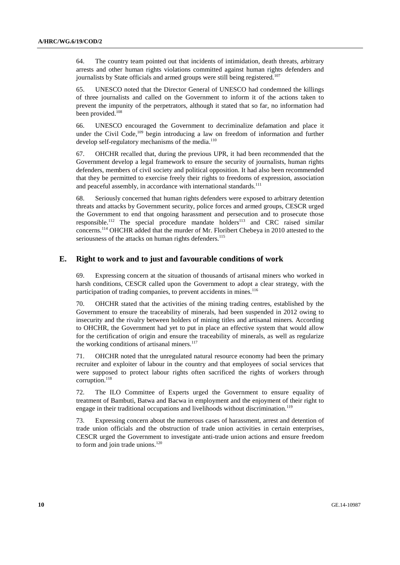64. The country team pointed out that incidents of intimidation, death threats, arbitrary arrests and other human rights violations committed against human rights defenders and journalists by State officials and armed groups were still being registered.<sup>107</sup>

65. UNESCO noted that the Director General of UNESCO had condemned the killings of three journalists and called on the Government to inform it of the actions taken to prevent the impunity of the perpetrators, although it stated that so far, no information had been provided.<sup>108</sup>

66. UNESCO encouraged the Government to decriminalize defamation and place it under the Civil Code,<sup>109</sup> begin introducing a law on freedom of information and further develop self-regulatory mechanisms of the media.<sup>110</sup>

67. OHCHR recalled that, during the previous UPR, it had been recommended that the Government develop a legal framework to ensure the security of journalists, human rights defenders, members of civil society and political opposition. It had also been recommended that they be permitted to exercise freely their rights to freedoms of expression, association and peaceful assembly, in accordance with international standards.<sup>111</sup>

68. Seriously concerned that human rights defenders were exposed to arbitrary detention threats and attacks by Government security, police forces and armed groups, CESCR urged the Government to end that ongoing harassment and persecution and to prosecute those responsible.<sup>112</sup> The special procedure mandate holders<sup>113</sup> and CRC raised similar concerns.114 OHCHR added that the murder of Mr. Floribert Chebeya in 2010 attested to the seriousness of the attacks on human rights defenders.<sup>115</sup>

## **E. Right to work and to just and favourable conditions of work**

69. Expressing concern at the situation of thousands of artisanal miners who worked in harsh conditions, CESCR called upon the Government to adopt a clear strategy, with the participation of trading companies, to prevent accidents in mines.<sup>116</sup>

70. OHCHR stated that the activities of the mining trading centres, established by the Government to ensure the traceability of minerals, had been suspended in 2012 owing to insecurity and the rivalry between holders of mining titles and artisanal miners. According to OHCHR, the Government had yet to put in place an effective system that would allow for the certification of origin and ensure the traceability of minerals, as well as regularize the working conditions of artisanal miners.<sup>117</sup>

71. OHCHR noted that the unregulated natural resource economy had been the primary recruiter and exploiter of labour in the country and that employees of social services that were supposed to protect labour rights often sacrificed the rights of workers through corruption.<sup>118</sup>

72. The ILO Committee of Experts urged the Government to ensure equality of treatment of Bambuti, Batwa and Bacwa in employment and the enjoyment of their right to engage in their traditional occupations and livelihoods without discrimination.<sup>119</sup>

73. Expressing concern about the numerous cases of harassment, arrest and detention of trade union officials and the obstruction of trade union activities in certain enterprises, CESCR urged the Government to investigate anti-trade union actions and ensure freedom to form and join trade unions. $120$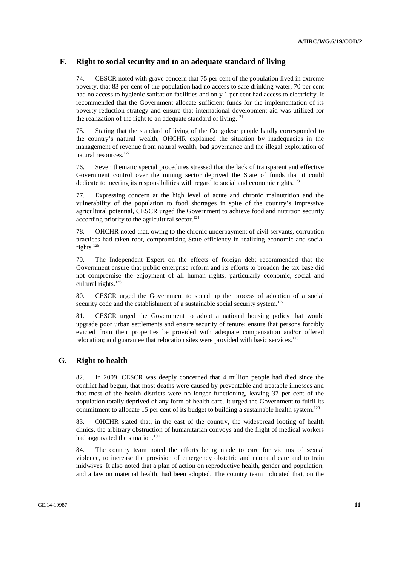## **F. Right to social security and to an adequate standard of living**

74. CESCR noted with grave concern that 75 per cent of the population lived in extreme poverty, that 83 per cent of the population had no access to safe drinking water, 70 per cent had no access to hygienic sanitation facilities and only 1 per cent had access to electricity. It recommended that the Government allocate sufficient funds for the implementation of its poverty reduction strategy and ensure that international development aid was utilized for the realization of the right to an adequate standard of living.<sup>121</sup>

75. Stating that the standard of living of the Congolese people hardly corresponded to the country's natural wealth, OHCHR explained the situation by inadequacies in the management of revenue from natural wealth, bad governance and the illegal exploitation of natural resources.<sup>122</sup>

76. Seven thematic special procedures stressed that the lack of transparent and effective Government control over the mining sector deprived the State of funds that it could dedicate to meeting its responsibilities with regard to social and economic rights.<sup>123</sup>

77. Expressing concern at the high level of acute and chronic malnutrition and the vulnerability of the population to food shortages in spite of the country's impressive agricultural potential, CESCR urged the Government to achieve food and nutrition security according priority to the agricultural sector.<sup>124</sup>

78. OHCHR noted that, owing to the chronic underpayment of civil servants, corruption practices had taken root, compromising State efficiency in realizing economic and social rights.<sup>125</sup>

79. The Independent Expert on the effects of foreign debt recommended that the Government ensure that public enterprise reform and its efforts to broaden the tax base did not compromise the enjoyment of all human rights, particularly economic, social and cultural rights.<sup>126</sup>

80. CESCR urged the Government to speed up the process of adoption of a social security code and the establishment of a sustainable social security system.<sup>127</sup>

81. CESCR urged the Government to adopt a national housing policy that would upgrade poor urban settlements and ensure security of tenure; ensure that persons forcibly evicted from their properties be provided with adequate compensation and/or offered relocation; and guarantee that relocation sites were provided with basic services.<sup>128</sup>

## **G. Right to health**

82. In 2009, CESCR was deeply concerned that 4 million people had died since the conflict had begun, that most deaths were caused by preventable and treatable illnesses and that most of the health districts were no longer functioning, leaving 37 per cent of the population totally deprived of any form of health care. It urged the Government to fulfil its commitment to allocate 15 per cent of its budget to building a sustainable health system.<sup>129</sup>

83. OHCHR stated that, in the east of the country, the widespread looting of health clinics, the arbitrary obstruction of humanitarian convoys and the flight of medical workers had aggravated the situation.<sup>130</sup>

84. The country team noted the efforts being made to care for victims of sexual violence, to increase the provision of emergency obstetric and neonatal care and to train midwives. It also noted that a plan of action on reproductive health, gender and population, and a law on maternal health, had been adopted. The country team indicated that, on the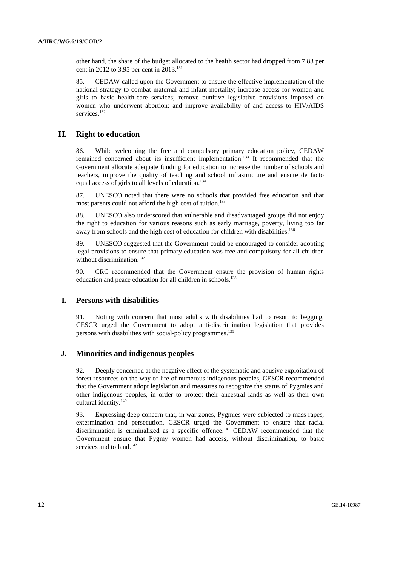other hand, the share of the budget allocated to the health sector had dropped from 7.83 per cent in 2012 to 3.95 per cent in 2013.<sup>131</sup>

85. CEDAW called upon the Government to ensure the effective implementation of the national strategy to combat maternal and infant mortality; increase access for women and girls to basic health-care services; remove punitive legislative provisions imposed on women who underwent abortion; and improve availability of and access to HIV/AIDS services.<sup>132</sup>

#### **H. Right to education**

86. While welcoming the free and compulsory primary education policy, CEDAW remained concerned about its insufficient implementation.<sup>133</sup> It recommended that the Government allocate adequate funding for education to increase the number of schools and teachers, improve the quality of teaching and school infrastructure and ensure de facto equal access of girls to all levels of education.<sup>134</sup>

87. UNESCO noted that there were no schools that provided free education and that most parents could not afford the high cost of tuition.<sup>135</sup>

88. UNESCO also underscored that vulnerable and disadvantaged groups did not enjoy the right to education for various reasons such as early marriage, poverty, living too far away from schools and the high cost of education for children with disabilities.<sup>136</sup>

89. UNESCO suggested that the Government could be encouraged to consider adopting legal provisions to ensure that primary education was free and compulsory for all children without discrimination.<sup>137</sup>

90. CRC recommended that the Government ensure the provision of human rights education and peace education for all children in schools.<sup>138</sup>

#### **I. Persons with disabilities**

91. Noting with concern that most adults with disabilities had to resort to begging, CESCR urged the Government to adopt anti-discrimination legislation that provides persons with disabilities with social-policy programmes.<sup>139</sup>

#### **J. Minorities and indigenous peoples**

92. Deeply concerned at the negative effect of the systematic and abusive exploitation of forest resources on the way of life of numerous indigenous peoples, CESCR recommended that the Government adopt legislation and measures to recognize the status of Pygmies and other indigenous peoples, in order to protect their ancestral lands as well as their own cultural identity.<sup>140</sup>

93. Expressing deep concern that, in war zones, Pygmies were subjected to mass rapes, extermination and persecution, CESCR urged the Government to ensure that racial discrimination is criminalized as a specific offence.<sup>141</sup> CEDAW recommended that the Government ensure that Pygmy women had access, without discrimination, to basic services and to land.<sup>142</sup>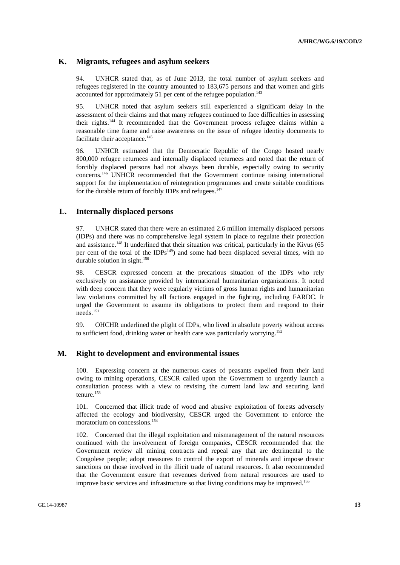## **K. Migrants, refugees and asylum seekers**

94. UNHCR stated that, as of June 2013, the total number of asylum seekers and refugees registered in the country amounted to 183,675 persons and that women and girls accounted for approximately 51 per cent of the refugee population.<sup>143</sup>

95. UNHCR noted that asylum seekers still experienced a significant delay in the assessment of their claims and that many refugees continued to face difficulties in assessing their rights.144 It recommended that the Government process refugee claims within a reasonable time frame and raise awareness on the issue of refugee identity documents to facilitate their acceptance.<sup>145</sup>

96. UNHCR estimated that the Democratic Republic of the Congo hosted nearly 800,000 refugee returnees and internally displaced returnees and noted that the return of forcibly displaced persons had not always been durable, especially owing to security concerns.146 UNHCR recommended that the Government continue raising international support for the implementation of reintegration programmes and create suitable conditions for the durable return of forcibly IDPs and refugees.<sup>147</sup>

#### **L. Internally displaced persons**

97. UNHCR stated that there were an estimated 2.6 million internally displaced persons (IDPs) and there was no comprehensive legal system in place to regulate their protection and assistance.<sup>148</sup> It underlined that their situation was critical, particularly in the Kivus (65 per cent of the total of the  $IDPs<sup>149</sup>$  and some had been displaced several times, with no durable solution in sight.<sup>150</sup>

98. CESCR expressed concern at the precarious situation of the IDPs who rely exclusively on assistance provided by international humanitarian organizations. It noted with deep concern that they were regularly victims of gross human rights and humanitarian law violations committed by all factions engaged in the fighting, including FARDC. It urged the Government to assume its obligations to protect them and respond to their needs.151

99. OHCHR underlined the plight of IDPs, who lived in absolute poverty without access to sufficient food, drinking water or health care was particularly worrying.<sup>152</sup>

#### **M. Right to development and environmental issues**

100. Expressing concern at the numerous cases of peasants expelled from their land owing to mining operations, CESCR called upon the Government to urgently launch a consultation process with a view to revising the current land law and securing land tenure.<sup>153</sup>

101. Concerned that illicit trade of wood and abusive exploitation of forests adversely affected the ecology and biodiversity, CESCR urged the Government to enforce the moratorium on concessions.154

102. Concerned that the illegal exploitation and mismanagement of the natural resources continued with the involvement of foreign companies, CESCR recommended that the Government review all mining contracts and repeal any that are detrimental to the Congolese people; adopt measures to control the export of minerals and impose drastic sanctions on those involved in the illicit trade of natural resources. It also recommended that the Government ensure that revenues derived from natural resources are used to improve basic services and infrastructure so that living conditions may be improved.<sup>155</sup>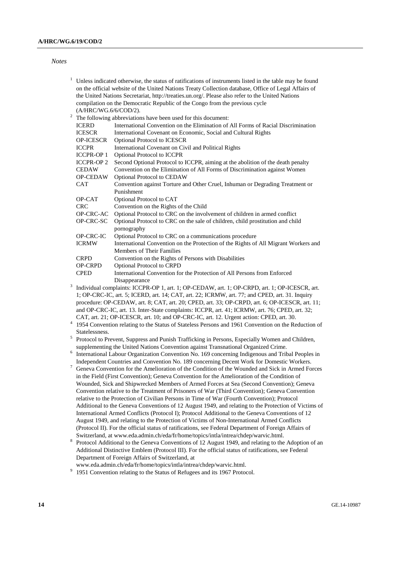#### *Notes*

| 1              |                                                                                                      | Unless indicated otherwise, the status of ratifications of instruments listed in the table may be found                                                                                    |  |
|----------------|------------------------------------------------------------------------------------------------------|--------------------------------------------------------------------------------------------------------------------------------------------------------------------------------------------|--|
|                | on the official website of the United Nations Treaty Collection database, Office of Legal Affairs of |                                                                                                                                                                                            |  |
|                |                                                                                                      | the United Nations Secretariat, http://treaties.un.org/. Please also refer to the United Nations                                                                                           |  |
|                | compilation on the Democratic Republic of the Congo from the previous cycle                          |                                                                                                                                                                                            |  |
|                | (A/HRC/WG.6/6/COD/2).                                                                                |                                                                                                                                                                                            |  |
| $\overline{c}$ |                                                                                                      | The following abbreviations have been used for this document:                                                                                                                              |  |
|                | <b>ICERD</b>                                                                                         | International Convention on the Elimination of All Forms of Racial Discrimination                                                                                                          |  |
|                | <b>ICESCR</b>                                                                                        | International Covenant on Economic, Social and Cultural Rights                                                                                                                             |  |
|                | OP-ICESCR                                                                                            | Optional Protocol to ICESCR                                                                                                                                                                |  |
|                | <b>ICCPR</b>                                                                                         |                                                                                                                                                                                            |  |
|                | <b>ICCPR-OP1</b>                                                                                     | International Covenant on Civil and Political Rights                                                                                                                                       |  |
|                |                                                                                                      | Optional Protocol to ICCPR                                                                                                                                                                 |  |
|                | <b>ICCPR-OP 2</b>                                                                                    | Second Optional Protocol to ICCPR, aiming at the abolition of the death penalty                                                                                                            |  |
|                | <b>CEDAW</b>                                                                                         | Convention on the Elimination of All Forms of Discrimination against Women                                                                                                                 |  |
|                | OP-CEDAW                                                                                             | Optional Protocol to CEDAW                                                                                                                                                                 |  |
|                | CAT                                                                                                  | Convention against Torture and Other Cruel, Inhuman or Degrading Treatment or                                                                                                              |  |
|                |                                                                                                      | Punishment                                                                                                                                                                                 |  |
|                | OP-CAT                                                                                               | Optional Protocol to CAT                                                                                                                                                                   |  |
|                | <b>CRC</b>                                                                                           | Convention on the Rights of the Child                                                                                                                                                      |  |
|                | OP-CRC-AC                                                                                            | Optional Protocol to CRC on the involvement of children in armed conflict                                                                                                                  |  |
|                | OP-CRC-SC                                                                                            | Optional Protocol to CRC on the sale of children, child prostitution and child                                                                                                             |  |
|                |                                                                                                      | pornography                                                                                                                                                                                |  |
|                | OP-CRC-IC                                                                                            | Optional Protocol to CRC on a communications procedure                                                                                                                                     |  |
|                | <b>ICRMW</b>                                                                                         | International Convention on the Protection of the Rights of All Migrant Workers and                                                                                                        |  |
|                |                                                                                                      | Members of Their Families                                                                                                                                                                  |  |
|                | <b>CRPD</b>                                                                                          | Convention on the Rights of Persons with Disabilities                                                                                                                                      |  |
|                | OP-CRPD                                                                                              | Optional Protocol to CRPD                                                                                                                                                                  |  |
|                | <b>CPED</b>                                                                                          | International Convention for the Protection of All Persons from Enforced                                                                                                                   |  |
| 3              |                                                                                                      | Disappearance                                                                                                                                                                              |  |
|                |                                                                                                      | Individual complaints: ICCPR-OP 1, art. 1; OP-CEDAW, art. 1; OP-CRPD, art. 1; OP-ICESCR, art.                                                                                              |  |
|                |                                                                                                      | 1; OP-CRC-IC, art. 5; ICERD, art. 14; CAT, art. 22; ICRMW, art. 77; and CPED, art. 31. Inquiry                                                                                             |  |
|                |                                                                                                      | procedure: OP-CEDAW, art. 8; CAT, art. 20; CPED, art. 33; OP-CRPD, art. 6; OP-ICESCR, art. 11;                                                                                             |  |
|                |                                                                                                      | and OP-CRC-IC, art. 13. Inter-State complaints: ICCPR, art. 41; ICRMW, art. 76; CPED, art. 32;                                                                                             |  |
|                |                                                                                                      | CAT, art. 21; OP-ICESCR, art. 10; and OP-CRC-IC, art. 12. Urgent action: CPED, art. 30.                                                                                                    |  |
|                |                                                                                                      | 1954 Convention relating to the Status of Stateless Persons and 1961 Convention on the Reduction of                                                                                        |  |
|                | Statelessness.                                                                                       |                                                                                                                                                                                            |  |
| 5              |                                                                                                      | Protocol to Prevent, Suppress and Punish Trafficking in Persons, Especially Women and Children,                                                                                            |  |
|                |                                                                                                      | supplementing the United Nations Convention against Transnational Organized Crime.                                                                                                         |  |
|                |                                                                                                      | International Labour Organization Convention No. 169 concerning Indigenous and Tribal Peoples in                                                                                           |  |
| 7              |                                                                                                      | Independent Countries and Convention No. 189 concerning Decent Work for Domestic Workers.                                                                                                  |  |
|                |                                                                                                      | Geneva Convention for the Amelioration of the Condition of the Wounded and Sick in Armed Forces                                                                                            |  |
|                |                                                                                                      | in the Field (First Convention); Geneva Convention for the Amelioration of the Condition of                                                                                                |  |
|                |                                                                                                      | Wounded, Sick and Shipwrecked Members of Armed Forces at Sea (Second Convention); Geneva<br>Convention relative to the Treatment of Prisoners of War (Third Convention); Geneva Convention |  |
|                |                                                                                                      |                                                                                                                                                                                            |  |
|                |                                                                                                      | relative to the Protection of Civilian Persons in Time of War (Fourth Convention); Protocol                                                                                                |  |
|                |                                                                                                      | Additional to the Geneva Conventions of 12 August 1949, and relating to the Protection of Victims of                                                                                       |  |
|                |                                                                                                      | International Armed Conflicts (Protocol I); Protocol Additional to the Geneva Conventions of 12                                                                                            |  |
|                |                                                                                                      | August 1949, and relating to the Protection of Victims of Non-International Armed Conflicts                                                                                                |  |
|                |                                                                                                      | (Protocol II). For the official status of ratifications, see Federal Department of Foreign Affairs of                                                                                      |  |
| 8              |                                                                                                      | Switzerland, at www.eda.admin.ch/eda/fr/home/topics/intla/intrea/chdep/warvic.html.                                                                                                        |  |
|                |                                                                                                      | Protocol Additional to the Geneva Conventions of 12 August 1949, and relating to the Adoption of an                                                                                        |  |
|                |                                                                                                      | Additional Distinctive Emblem (Protocol III). For the official status of ratifications, see Federal                                                                                        |  |
|                |                                                                                                      | Department of Foreign Affairs of Switzerland, at                                                                                                                                           |  |
|                |                                                                                                      | www.eda.admin.ch/eda/fr/home/topics/intla/intrea/chdep/warvic.html.                                                                                                                        |  |

www.eda.admin.ch/eda/fr/home/topics/intla/intrea/chdep/warvic.html.<br><sup>9</sup> 1951 Convention relating to the Status of Refugees and its 1967 Protocol.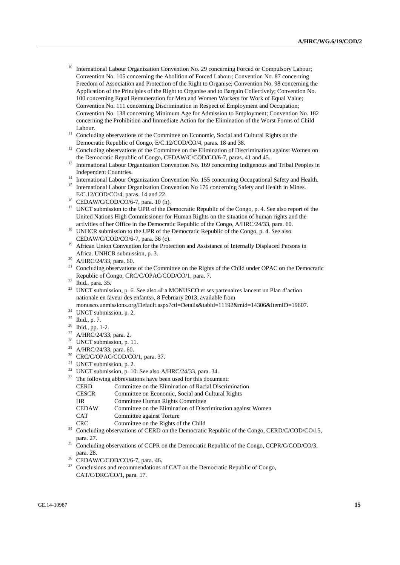- International Labour Organization Convention No. 29 concerning Forced or Compulsory Labour; Convention No. 105 concerning the Abolition of Forced Labour; Convention No. 87 concerning Freedom of Association and Protection of the Right to Organise; Convention No. 98 concerning the Application of the Principles of the Right to Organise and to Bargain Collectively; Convention No. 100 concerning Equal Remuneration for Men and Women Workers for Work of Equal Value; Convention No. 111 concerning Discrimination in Respect of Employment and Occupation; Convention No. 138 concerning Minimum Age for Admission to Employment; Convention No. 182 concerning the Prohibition and Immediate Action for the Elimination of the Worst Forms of Child
- Labour.<br><sup>11</sup> Concluding observations of the Committee on Economic, Social and Cultural Rights on the
- Democratic Republic of Congo, E/C.12/COD/CO/4, paras. 18 and 38.<br><sup>12</sup> Concluding observations of the Committee on the Elimination of Discrimination against Women on the Democratic Republic of Congo, CEDAW/C/COD/CO/6-7, par
- $13$  International Labour Organization Convention No. 169 concerning Indigenous and Tribal Peoples in Independent Countries.<br><sup>14</sup> International Labour Organization Convention No. 155 concerning Occupational Safety and Health.
- 
- <sup>15</sup> International Labour Organization Convention No 176 concerning Safety and Health in Mines.
- E/C.12/COD/CO/4, paras. 14 and 22.<br><sup>16</sup> CEDAW/C/COD/CO/6-7, para. 10 (h).
- <sup>17</sup> UNCT submission to the UPR of the Democratic Republic of the Congo, p. 4. See also report of the United Nations High Commissioner for Human Rights on the situation of human rights and the
- activities of her Office in the Democratic Republic of the Congo, A/HRC/24/33, para. 60. 18 UNHCR submission to the UPR of the Democratic Republic of the Congo, p. 4. See also
- CEDAW/C/COD/CO/6-7, para. 36 (c).<br><sup>19</sup> African Union Convention for the Protection and Assistance of Internally Displaced Persons in Africa. UNHCR submission, p. 3. 20 A/HRC/24/33, para. 60.
- 
- <sup>21</sup> Concluding observations of the Committee on the Rights of the Child under OPAC on the Democratic Republic of Congo, CRC/C/OPAC/COD/CO/1, para. 7.<br><sup>22</sup> Ibid., para. 35.
- 
- <sup>23</sup> UNCT submission, p. 6. See also «La MONUSCO et ses partenaires lancent un Plan d'action nationale en faveur des enfants», 8 February 2013, available from
- monusco.unmissions.org/Default.aspx?ctl=Details&tabid=11192&mid=14306&ItemID=19607.<br><sup>24</sup> UNCT submission, p. 2.<br><sup>25</sup> Ibid., p. 7.
- 
- 
- $26$  Ibid., pp. 1-2.
- <sup>27</sup> A/HRC/24/33, para. 2.
- <sup>28</sup> UNCT submission, p. 11.
- 29 A/HRC/24/33, para. 60.
- <sup>30</sup> CRC/C/OPAC/COD/CO/1, para. 37.
- <sup>31</sup> UNCT submission, p. 2.
- 32 UNCT submission, p. 10. See also A/HRC/24/33, para. 34.
- <sup>33</sup> The following abbreviations have been used for this document:
	- CERD Committee on the Elimination of Racial Discrimination
	- CESCR Committee on Economic, Social and Cultural Rights
	- HR Committee Human Rights Committee
	- CEDAW Committee on the Elimination of Discrimination against Women
	- CAT Committee against Torture
	-
- CRC Committee on the Rights of the Child 34 Concluding observations of CERD on the Democratic Republic of the Congo, CERD/C/COD/CO/15,
- para. 27. 35 Concluding observations of CCPR on the Democratic Republic of the Congo, CCPR/C/COD/CO/3, para. 28.
- CEDAW/C/COD/CO/6-7, para. 46.
- $37$  Conclusions and recommendations of CAT on the Democratic Republic of Congo, CAT/C/DRC/CO/1, para. 17.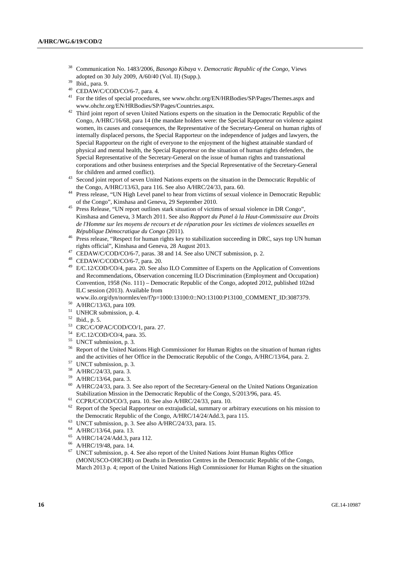- 38 Communication No. 1483/2006, *Basongo Kibaya* v. *Democratic Republic of the Congo*, Views adopted on 30 July 2009, A/60/40 (Vol. II) (Supp.).<br><sup>39</sup> Ibid., para. 9.<br><sup>40</sup> CEDAW/C/COD/CO/6.7, para. 4.
- 
- CEDAW/C/COD/CO/6-7, para. 4.
- <sup>41</sup> For the titles of special procedures, see www.ohchr.org/EN/HRBodies/SP/Pages/Themes.aspx and www.ohchr.org/EN/HRBodies/SP/Pages/Countries.aspx. 42 Third joint report of seven United Nations experts on the situation in the Democratic Republic of the
- Congo, A/HRC/16/68, para 14 (the mandate holders were: the Special Rapporteur on violence against women, its causes and consequences, the Representative of the Secretary-General on human rights of internally displaced persons, the Special Rapporteur on the independence of judges and lawyers, the Special Rapporteur on the right of everyone to the enjoyment of the highest attainable standard of physical and mental health, the Special Rapporteur on the situation of human rights defenders, the Special Representative of the Secretary-General on the issue of human rights and transnational corporations and other business enterprises and the Special Representative of the Secretary-General for children and armed conflict).
- <sup>43</sup> Second joint report of seven United Nations experts on the situation in the Democratic Republic of the Congo, A/HRC/13/63, para 116. See also A/HRC/24/33, para. 60.
- <sup>44</sup> Press release, "UN High Level panel to hear from victims of sexual violence in Democratic Republic of the Congo", Kinshasa and Geneva, 29 September 2010.
- <sup>45</sup> Press Release, "UN report outlines stark situation of victims of sexual violence in DR Congo", Kinshasa and Geneva, 3 March 2011. See also *Rapport du Panel à la Haut-Commissaire aux Droits de l'Homme sur les moyens de recours et de réparation pour les victimes de violences sexuelles en*
- *République Démocratique du Congo* (2011).<br><sup>46</sup> Press release, "Respect for human rights key to stabilization succeeding in DRC, says top UN human rights official", Kinshasa and Geneva, 28 August 2013.
- <sup>47</sup> CEDAW/C/COD/CO/6-7, paras. 38 and 14. See also UNCT submission, p. 2.
- 48 CEDAW/C/COD/CO/6-7, para. 20.
- <sup>49</sup> E/C.12/COD/CO/4, para. 20. See also ILO Committee of Experts on the Application of Conventions and Recommendations, Observation concerning ILO Discrimination (Employment and Occupation) Convention, 1958 (No. 111) – Democratic Republic of the Congo, adopted 2012, published 102nd ILC session (2013). Available from
- www.ilo.org/dyn/normlex/en/f?p=1000:13100:0::NO:13100:P13100\_COMMENT\_ID:3087379.<br>50 A/HRC/13/63, para 109.
- 
- <sup>51</sup> UNHCR submission, p. 4.
- 52 Ibid., p. 5.
- 53 CRC/C/OPAC/COD/CO/1, para. 27.
- 54 E/C.12/COD/CO/4, para. 35.
- 55 UNCT submission, p. 3.
- 56 Report of the United Nations High Commissioner for Human Rights on the situation of human rights and the activities of her Office in the Democratic Republic of the Congo, A/HRC/13/64, para. 2. 57 UNCT submission, p. 3.
- 
- 58 A/HRC/24/33, para. 3.
- 59 A/HRC/13/64, para. 3.
- 60 A/HRC/24/33, para. 3. See also report of the Secretary-General on the United Nations Organization Stabilization Mission in the Democratic Republic of the Congo, S/2013/96, para. 45. 61 CCPR/C/COD/CO/3, para. 10. See also A/HRC/24/33, para. 10.
- 
- <sup>62</sup> Report of the Special Rapporteur on extrajudicial, summary or arbitrary executions on his mission to the Democratic Republic of the Congo, A/HRC/14/24/Add.3, para 115.<br><sup>63</sup> UNCT submission, p. 3. See also A/HRC/24/33, para. 15.
- 
- $^{64}$  A/HRC/13/64, para. 13.
- 65 A/HRC/14/24/Add.3, para 112.
- $^{66}$  A/HRC/19/48, para. 14.
- 67 UNCT submission, p. 4. See also report of the United Nations Joint Human Rights Office (MONUSCO-OHCHR) on Deaths in Detention Centres in the Democratic Republic of the Congo, March 2013 p. 4; report of the United Nations High Commissioner for Human Rights on the situation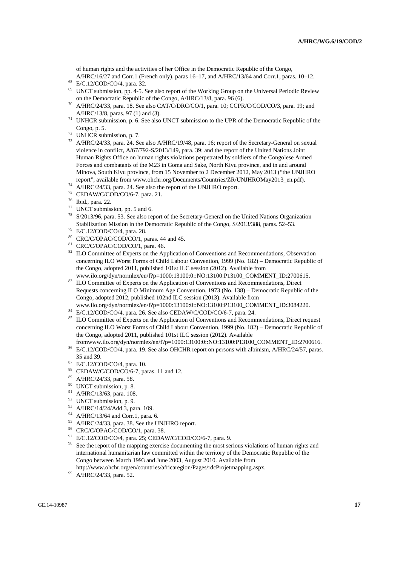of human rights and the activities of her Office in the Democratic Republic of the Congo, A/HRC/16/27 and Corr.1 (French only), paras 16–17, and A/HRC/13/64 and Corr.1, paras. 10–12. 68 E/C.12/COD/CO/4, para. 32.

- 
- <sup>69</sup> UNCT submission, pp. 4-5. See also report of the Working Group on the Universal Periodic Review on the Democratic Republic of the Congo,  $A/HRC/13/8$ , para. 96 (6).
- A/HRC/24/33, para. 18. See also CAT/C/DRC/CO/1, para. 10; CCPR/C/COD/CO/3, para. 19; and A/HRC/13/8, paras. 97 (1) and (3).
- <sup>71</sup> UNHCR submission, p. 6. See also UNCT submission to the UPR of the Democratic Republic of the Congo, p. 5.<br><sup>72</sup> UNHCR submission, p. 7.
- 
- 73 A/HRC/24/33, para. 24. See also A/HRC/19/48, para. 16; report of the Secretary-General on sexual violence in conflict, A/67/792-S/2013/149, para. 39; and the report of the United Nations Joint Human Rights Office on human rights violations perpetrated by soldiers of the Congolese Armed Forces and combatants of the M23 in Goma and Sake, North Kivu province, and in and around Minova, South Kivu province, from 15 November to 2 December 2012, May 2013 ("the UNJHRO report", available from www.ohchr.org/Documents/Countries/ZR/UNJHROMay2013\_en.pdf).
- $74$  A/HRC/24/33, para. 24. See also the report of the UNJHRO report.
- 75 CEDAW/C/COD/CO/6-7, para. 21.
- 76 Ibid., para. 22.
- $77$  UNCT submission, pp. 5 and 6.
- S/2013/96, para. 53. See also report of the Secretary-General on the United Nations Organization Stabilization Mission in the Democratic Republic of the Congo, S/2013/388, paras. 52–53.<br><sup>79</sup> E/C.12/COD/CO/4, para. 28.<br><sup>80</sup> CDC/COD/CO/1, paras. 44 and 45.
- 
- CRC/C/OPAC/COD/CO/1, paras. 44 and 45.
- 81 CRC/C/OPAC/COD/CO/1, para. 46.
- <sup>82</sup> ILO Committee of Experts on the Application of Conventions and Recommendations, Observation concerning ILO Worst Forms of Child Labour Convention, 1999 (No. 182) – Democratic Republic of the Congo, adopted 2011, published 101st ILC session (2012). Available from<br>www.ilo.org/dyn/normlex/en/f?p=1000:13100:0::NO:13100:P13100\_COMMENT\_ID:2700615.
- 83 ILO Committee of Experts on the Application of Conventions and Recommendations, Direct Requests concerning ILO Minimum Age Convention, 1973 (No. 138) – Democratic Republic of the Congo, adopted 2012, published 102nd ILC session (2013). Available from
- www.ilo.org/dyn/normlex/en/f?p=1000:13100:0::NO:13100:P13100\_COMMENT\_ID:3084220. 84 E/C.12/COD/CO/4, para. 26. See also CEDAW/C/COD/CO/6-7, para. 24.
- 
- <sup>85</sup> ILO Committee of Experts on the Application of Conventions and Recommendations, Direct request concerning ILO Worst Forms of Child Labour Convention, 1999 (No. 182) – Democratic Republic of the Congo, adopted 2011, published 101st ILC session (2012). Available<br>fromwww.ilo.org/dyn/normlex/en/f?p=1000:13100:0::NO:13100:P13100 COMMENT ID:2700616.
- <sup>86</sup> E/C.12/COD/CO/4, para. 19. See also OHCHR report on persons with albinism, A/HRC/24/57, paras. 35 and 39.
- 87 E/C.12/COD/CO/4, para. 10.
- 88 CEDAW/C/COD/CO/6-7, paras. 11 and 12.
- 89 A/HRC/24/33, para. 58.
- <sup>90</sup> UNCT submission, p. 8.
- 91 A/HRC/13/63, para. 108.
- <sup>92</sup> UNCT submission, p. 9.
- <sup>93</sup> A/HRC/14/24/Add.3, para. 109.
- A/HRC/13/64 and Corr.1, para. 6.
- <sup>95</sup> A/HRC/24/33, para. 38. See the UNJHRO report.
- <sup>96</sup> CRC/C/OPAC/COD/CO/1, para. 38.
- $^{97}$  E/C.12/COD/CO/4, para. 25; CEDAW/C/COD/CO/6-7, para. 9.<br> $^{98}$  See the report of the menning exercise decumenting the meet set
- See the report of the mapping exercise documenting the most serious violations of human rights and international humanitarian law committed within the territory of the Democratic Republic of the Congo between March 1993 and June 2003, August 2010. Available from http://www.ohchr.org/en/countries/africaregion/Pages/rdcProjetmapping.aspx. 99 A/HRC/24/33, para. 52.
-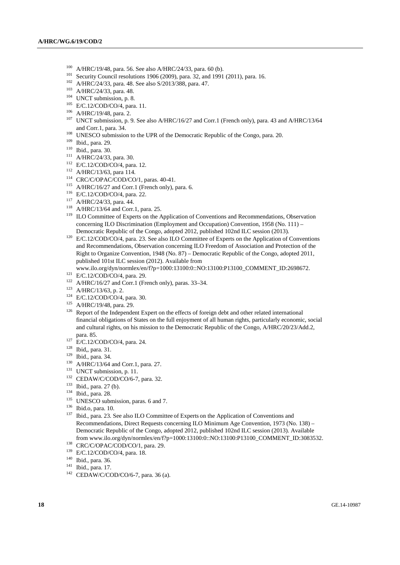- 
- 
- 
- 
- 
- 
- 
- <sup>100</sup> A/HRC/19/48, para. 56. See also A/HRC/24/33, para. 60 (b).<br>
<sup>101</sup> Security Council resolutions 1906 (2009), para. 32, and 1991 (2011), para. 16.<br>
<sup>102</sup> A/HRC/24/33, para. 48. See also S/2013/388, para. 47.<br>
<sup>103</sup> A/ and Corr.1, para. 34.<br>
<sup>108</sup> UNESCO submission to the UPR of the Democratic Republic of the Congo, para. 20.<br>
<sup>110</sup> Ibid., para. 29.<br>
<sup>110</sup> Ibid., para. 30.<br>
<sup>111</sup> A/HRC/24/33, para. 30.<br>
<sup>112</sup> E/C.12/COD/CO/4, para. 12.<br>
- 
- 
- 
- 
- 
- 
- 
- 
- 
- 
- 
- concerning ILO Discrimination (Employment and Occupation) Convention, 1958 (No. 111) –
- Democratic Republic of the Congo, adopted 2012, published 102nd ILC session (2013). 120 E/C.12/COD/CO/4, para. 23. See also ILO Committee of Experts on the Application of Conventions and Recommendations, Observation concerning ILO Freedom of Association and Protection of the Right to Organize Convention, 1948 (No. 87) – Democratic Republic of the Congo, adopted 2011, published 101st ILC session (2012). Available from<br>www.ilo.org/dyn/normlex/en/f?p=1000:13100:0::NO:13100:P13100\_COMMENT\_ID:2698672.

- 
- 
- 
- 
- 
- <sup>121</sup> E/C.12/COD/CO/4, para. 29.<br>
<sup>122</sup> A/HRC/16/27 and Corr.1 (French only), paras. 33–34.<br>
<sup>123</sup> A/HRC/13/63, p. 2.<br>
<sup>124</sup> E/C.12/COD/CO/4, para. 30.<br>
<sup>125</sup> A/HRC/19/48, para. 29.<br>
<sup>126</sup> Report of the Independent Expert financial obligations of States on the full enjoyment of all human rights, particularly economic, social and cultural rights, on his mission to the Democratic Republic of the Congo, A/HRC/20/23/Add.2,
- 
- 
- 
- 
- 
- 
- 
- 
- 
- 
- para. 85.<br>
<sup>127</sup> E/C.12/COD/CO/4, para. 24.<br>
<sup>128</sup> Ibid., para. 31.<br>
<sup>129</sup> Ibid., para. 34.<br>
<sup>130</sup> A/HRC/13/64 and Corr.1, para. 27.<br>
<sup>131</sup> UNCT submission, p. 11.<br>
<sup>132</sup> CEDAW/C/COD/CO/6-7, para. 32.<br>
<sup>133</sup> Ibid., para. 2 Recommendations, Direct Requests concerning ILO Minimum Age Convention, 1973 (No. 138) – Democratic Republic of the Congo, adopted 2012, published 102nd ILC session (2013). Available from www.ilo.org/dyn/normlex/en/f?p=1000:13100:0::NO:13100:P13100\_COMMENT\_ID:3083532.<br>  $\text{CRC/C/OPAC/COD/CO/1, para. 29.}$ <br>  $\text{E/C.12/COD/CO/4, para. 18.}$ <br>
139 E/C.12/COD/CO/4, para. 18.<br>
141 Ibid., para. 36.<br>
141 Ibid., para. 17.<br>
142
- 
- 
- 
- 
-